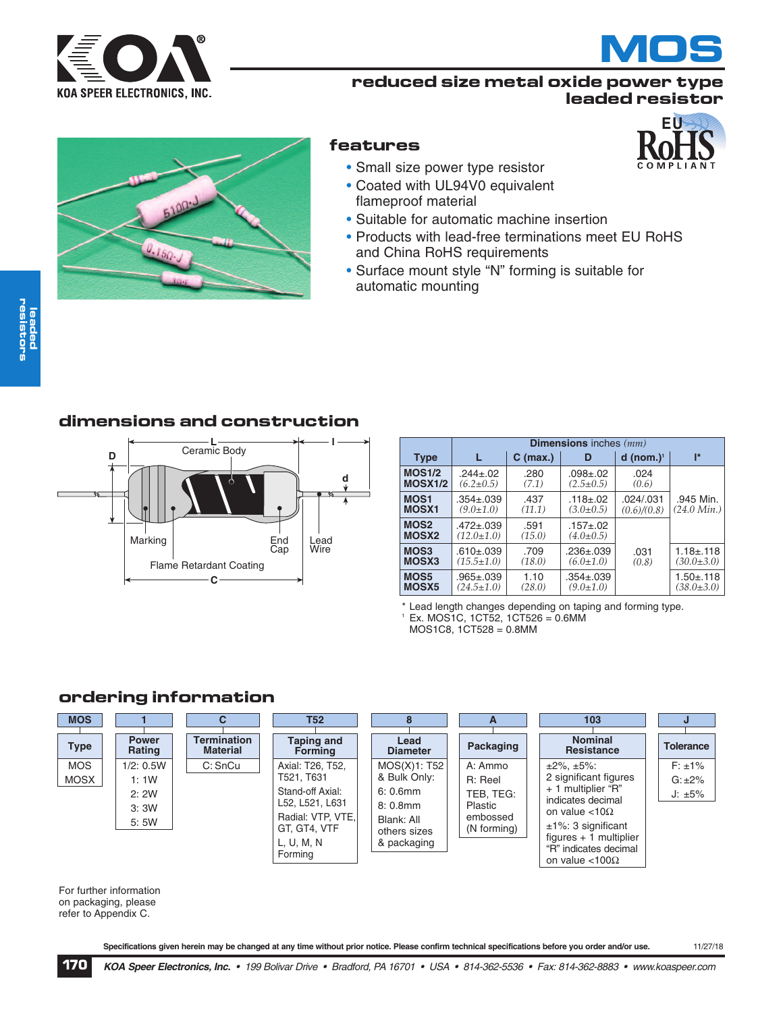



**EU**

# **reduced size metal oxide power type leaded resistor**



# **features**

- Small size power type resistor
- Coated with UL94V0 equivalent flameproof material
- Suitable for automatic machine insertion
- Products with lead-free terminations meet EU RoHS and China RoHS requirements
- Surface mount style "N" forming is suitable for automatic mounting

# **dimensions and construction**



|                                       | <b>Dimensions</b> inches $(mm)$     |                |                                 |                         |                       |  |
|---------------------------------------|-------------------------------------|----------------|---------------------------------|-------------------------|-----------------------|--|
| <b>Type</b>                           |                                     | $C$ (max.)     | D                               | $d$ (nom.) <sup>1</sup> | I*                    |  |
| <b>MOS1/2</b>                         | $.244 + .02$                        | .280           | $.098 + .02$                    | .024                    |                       |  |
| <b>MOSX1/2</b>                        | $(6.2 \pm 0.5)$                     | (7.1)          | $(2.5 \pm 0.5)$                 | (0.6)                   |                       |  |
| <b>MOS1</b>                           | $.354 \pm .039$                     | .437           | $.118 + .02$                    | .024/.031               | .945 Min.             |  |
| <b>MOSX1</b>                          | $(9.0 \pm 1.0)$                     | (11.1)         | $(3.0 \pm 0.5)$                 | (0.6)/(0.8)             | $(24.0 \text{ Min.})$ |  |
| MOS <sub>2</sub><br>MOSX <sub>2</sub> | $.472 \pm .039$<br>$(12.0 \pm 1.0)$ | .591<br>(15.0) | $.157 + .02$<br>$(4.0 \pm 0.5)$ |                         |                       |  |
| MOS <sub>3</sub>                      | $.610 \pm .039$                     | .709           | $.236 \pm .039$                 | .031                    | $1.18 \pm 0.118$      |  |
| MOSX3                                 | $(15.5 \pm 1.0)$                    | (18.0)         | $(6.0 \pm 1.0)$                 | (0.8)                   | $(30.0 \pm 3.0)$      |  |
| MOS5                                  | $.965 + .039$                       | 1.10           | $.354 \pm .039$                 |                         | $1.50 + .118$         |  |
| MOSX <sub>5</sub>                     | $(24.5 \pm 1.0)$                    | (28.0)         | $(9.0 \pm 1.0)$                 |                         | $(38.0 \pm 3.0)$      |  |

\* Lead length changes depending on taping and forming type.  $^{\circ}$  Ex. MOS1C, 1CT52, 1CT526 = 0.6MM MOS1C8, 1CT528 = 0.8MM

# **ordering information**

| <b>MOS</b>  |                              | С                                     | T52                                                                                                             | 8                                                                                      | A                                                          | 103                                                                                                                                                                                                      |                              |
|-------------|------------------------------|---------------------------------------|-----------------------------------------------------------------------------------------------------------------|----------------------------------------------------------------------------------------|------------------------------------------------------------|----------------------------------------------------------------------------------------------------------------------------------------------------------------------------------------------------------|------------------------------|
| <b>Type</b> | <b>Power</b><br>Rating       | <b>Termination</b><br><b>Material</b> | <b>Taping and</b><br><b>Forming</b>                                                                             | Lead<br><b>Diameter</b>                                                                | Packaging                                                  | <b>Nominal</b><br><b>Resistance</b>                                                                                                                                                                      | <b>Tolerance</b>             |
| <b>MOS</b>  | 1/2: 0.5W                    | C: SnCu                               | Axial: T26, T52,                                                                                                | MOS(X)1: T52                                                                           | A: Ammo                                                    | $\pm 2\%$ , $\pm 5\%$ :                                                                                                                                                                                  | $F: \pm 1\%$                 |
| <b>MOSX</b> | 1:1W<br>2:2W<br>3:3W<br>5:5W |                                       | T521, T631<br>Stand-off Axial:<br>L52, L521, L631<br>Radial: VTP, VTE,<br>GT, GT4, VTF<br>L, U, M, N<br>Forming | & Bulk Only:<br>$6: 0.6$ mm<br>$8:0.8$ mm<br>Blank: All<br>others sizes<br>& packaging | R: Reel<br>TEB, TEG:<br>Plastic<br>embossed<br>(N forming) | 2 significant figures<br>+ 1 multiplier "R"<br>indicates decimal<br>on value $<$ 10 $\Omega$<br>$±1\%$ : 3 significant<br>$fiqures + 1$ multiplier<br>"R" indicates decimal<br>on value $<$ 100 $\Omega$ | $G: \pm 2\%$<br>$J: \pm 5\%$ |

For further information on packaging, please refer to Appendix C.

Specifications given herein may be changed at any time without prior notice. Please confirm technical specifications before you order and/or use. 11/27/18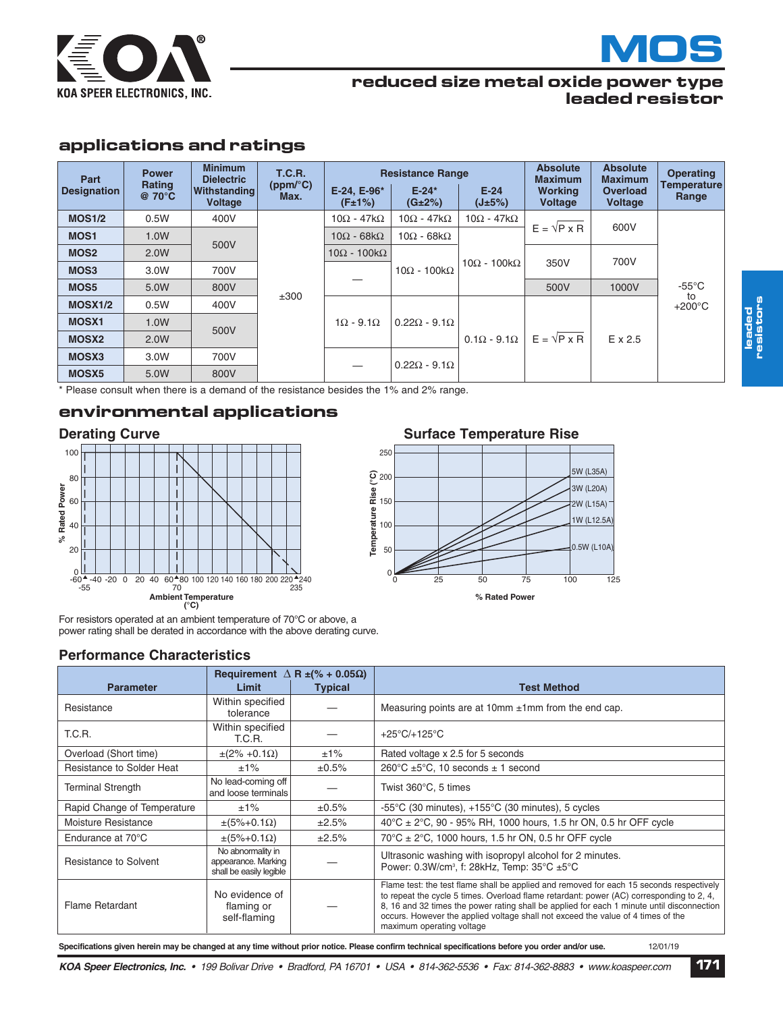



#### **reduced size metal oxide power type leaded resistor**

# **applications and ratings**

| Part<br><b>Designation</b> | <b>Power</b><br>Rating<br>$@70^{\circ}C$ | <b>Minimum</b><br><b>Dielectric</b><br>Withstanding<br><b>Voltage</b> | <b>T.C.R.</b><br>(ppm/°C)<br>Max. | E-24. E-96*<br>(F±1%)   | <b>Resistance Range</b><br>$E - 24*$<br>(G±2%) | $E-24$<br>(J±5%)         | <b>Absolute</b><br><b>Maximum</b><br><b>Working</b><br><b>Voltage</b> | <b>Absolute</b><br><b>Maximum</b><br>Overload<br><b>Voltage</b> | <b>Operating</b><br>Temperature<br>Range |  |  |  |      |                         |                       |      |  |  |
|----------------------------|------------------------------------------|-----------------------------------------------------------------------|-----------------------------------|-------------------------|------------------------------------------------|--------------------------|-----------------------------------------------------------------------|-----------------------------------------------------------------|------------------------------------------|--|--|--|------|-------------------------|-----------------------|------|--|--|
| <b>MOS1/2</b>              | 0.5W                                     | 400V                                                                  |                                   | $10\Omega - 47k\Omega$  | $10\Omega - 47k\Omega$                         | $10\Omega - 47k\Omega$   |                                                                       |                                                                 |                                          |  |  |  |      |                         |                       |      |  |  |
| MOS <sub>1</sub>           | 1.0W                                     |                                                                       |                                   | $10\Omega - 68k\Omega$  | $10\Omega - 68k\Omega$                         |                          | $E = \sqrt{P} \times R$                                               | 600V                                                            |                                          |  |  |  |      |                         |                       |      |  |  |
| MOS <sub>2</sub>           | 2.0W                                     | 500V                                                                  |                                   | $10\Omega - 100k\Omega$ |                                                |                          |                                                                       | 700V                                                            |                                          |  |  |  |      |                         |                       |      |  |  |
| MOS <sub>3</sub>           | 3.0W                                     | 700V                                                                  |                                   |                         |                                                |                          |                                                                       |                                                                 |                                          |  |  |  |      | $10\Omega - 100k\Omega$ | $10Ω - 100kΩ$         | 350V |  |  |
| MOS5                       | 5.0W                                     | 800V                                                                  | ±300                              |                         |                                                |                          |                                                                       |                                                                 |                                          |  |  |  | 500V | 1000V                   | $-55^{\circ}$ C<br>to |      |  |  |
| <b>MOSX1/2</b>             | 0.5W                                     | 400V                                                                  |                                   | $1\Omega - 9.1\Omega$   |                                                |                          |                                                                       |                                                                 | $+200^{\circ}$ C                         |  |  |  |      |                         |                       |      |  |  |
| <b>MOSX1</b>               | 1.0W                                     | 500V                                                                  |                                   |                         |                                                | $0.22\Omega - 9.1\Omega$ |                                                                       |                                                                 |                                          |  |  |  |      |                         |                       |      |  |  |
| <b>MOSX2</b>               | 2.0W                                     |                                                                       |                                   |                         |                                                | $0.1\Omega - 9.1\Omega$  | $E = \sqrt{P} \times R$                                               | E x 2.5                                                         |                                          |  |  |  |      |                         |                       |      |  |  |
| MOSX3                      | 3.0W                                     | 700V                                                                  |                                   |                         |                                                |                          |                                                                       |                                                                 |                                          |  |  |  |      |                         |                       |      |  |  |
| MOSX <sub>5</sub>          | 5.0W                                     | 800V                                                                  |                                   |                         | $0.22\Omega - 9.1\Omega$                       |                          |                                                                       |                                                                 |                                          |  |  |  |      |                         |                       |      |  |  |

\* Please consult when there is a demand of the resistance besides the 1% and 2% range.

# **environmental applications**



For resistors operated at an ambient temperature of 70°C or above, a power rating shall be derated in accordance with the above derating curve.

#### **Performance Characteristics**

|                             |                                                                     | Requirement $\Delta$ R $\pm$ (% + 0.05 $\Omega$ ) |                                                                                                                                                                                                                                                                                                                                                                                                     |
|-----------------------------|---------------------------------------------------------------------|---------------------------------------------------|-----------------------------------------------------------------------------------------------------------------------------------------------------------------------------------------------------------------------------------------------------------------------------------------------------------------------------------------------------------------------------------------------------|
| <b>Parameter</b>            | Limit                                                               | <b>Typical</b>                                    | <b>Test Method</b>                                                                                                                                                                                                                                                                                                                                                                                  |
| Resistance                  | Within specified<br>tolerance                                       |                                                   | Measuring points are at 10mm $\pm$ 1mm from the end cap.                                                                                                                                                                                                                                                                                                                                            |
| T.C.R.                      | Within specified<br>T.C.R.                                          |                                                   | $+25^{\circ}$ C/+125 $^{\circ}$ C                                                                                                                                                                                                                                                                                                                                                                   |
| Overload (Short time)       | $\pm (2\% + 0.1\Omega)$                                             | $±1\%$                                            | Rated voltage x 2.5 for 5 seconds                                                                                                                                                                                                                                                                                                                                                                   |
| Resistance to Solder Heat   | $±1\%$                                                              | $\pm 0.5\%$                                       | 260 $\degree$ C ±5 $\degree$ C, 10 seconds ± 1 second                                                                                                                                                                                                                                                                                                                                               |
| <b>Terminal Strength</b>    | No lead-coming off<br>and loose terminals                           |                                                   | Twist 360°C, 5 times                                                                                                                                                                                                                                                                                                                                                                                |
| Rapid Change of Temperature | $±1\%$                                                              | $\pm 0.5\%$                                       | $-55^{\circ}$ C (30 minutes), $+155^{\circ}$ C (30 minutes), 5 cycles                                                                                                                                                                                                                                                                                                                               |
| Moisture Resistance         | $\pm(5\%+0.1\Omega)$                                                | ±2.5%                                             | 40°C ± 2°C, 90 - 95% RH, 1000 hours, 1.5 hr ON, 0.5 hr OFF cycle                                                                                                                                                                                                                                                                                                                                    |
| Endurance at 70°C           | $\pm(5\%+0.1\Omega)$                                                | ±2.5%                                             | 70°C ± 2°C, 1000 hours, 1.5 hr ON, 0.5 hr OFF cycle                                                                                                                                                                                                                                                                                                                                                 |
| Resistance to Solvent       | No abnormality in<br>appearance. Marking<br>shall be easily legible |                                                   | Ultrasonic washing with isopropyl alcohol for 2 minutes.<br>Power: 0.3W/cm <sup>3</sup> , f: 28kHz, Temp: 35°C ±5°C                                                                                                                                                                                                                                                                                 |
| Flame Retardant             | No evidence of<br>flaming or<br>self-flaming                        |                                                   | Flame test: the test flame shall be applied and removed for each 15 seconds respectively<br>to repeat the cycle 5 times. Overload flame retardant: power (AC) corresponding to 2, 4,<br>8, 16 and 32 times the power rating shall be applied for each 1 minute until disconnection<br>occurs. However the applied voltage shall not exceed the value of 4 times of the<br>maximum operating voltage |

# **Derating Curve CULLER 19 SURFACE Surface Temperature Rise**



**le a d e d resis tors**

KOA Speer Electronics, Inc. • 199 Bolivar Drive • Bradford, PA 16701 • USA • 814-362-5536 • Fax: 814-362-8883 • www.koaspeer.com 171 Specifications given herein may be changed at any time without prior notice. Please confirm technical specifications before you order and/or use. 12/01/19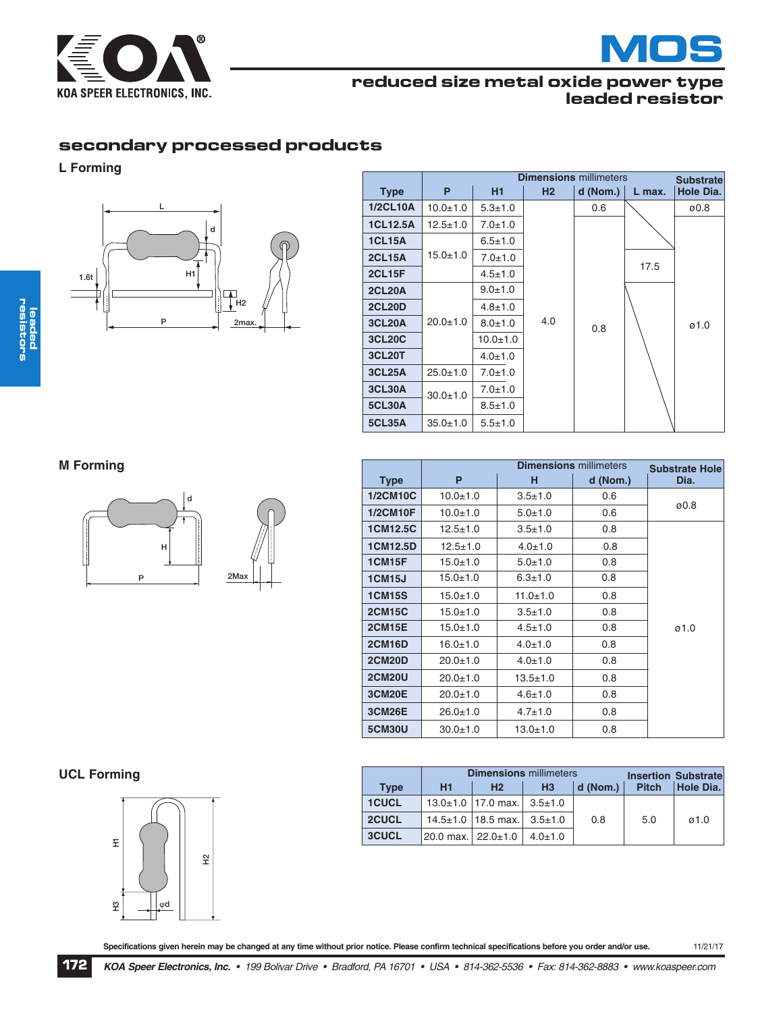



# **reduced size metal oxide power type leaded resistor**

**Dimensions** millimeters

# **secondary processed products**

#### **L Forming**



|                 |                | <b>Substrate</b> |     |          |        |                   |
|-----------------|----------------|------------------|-----|----------|--------|-------------------|
| <b>Type</b>     | P              | <b>H1</b>        | H2  | d (Nom.) | L max. | Hole Dia.         |
| <b>1/2CL10A</b> | $10.0 + 1.0$   | $5.3 + 1.0$      |     | 0.6      |        | ø0.8              |
| <b>1CL12.5A</b> | $12.5 \pm 1.0$ | $7.0 + 1.0$      |     |          |        |                   |
| <b>1CL15A</b>   |                | $6.5 \pm 1.0$    |     |          |        |                   |
| <b>2CL15A</b>   | $15.0 + 1.0$   | $7.0 + 1.0$      |     |          |        |                   |
| <b>2CL15F</b>   |                | $4.5 \pm 1.0$    |     |          | 17.5   |                   |
| <b>2CL20A</b>   |                | $9.0 + 1.0$      |     |          |        |                   |
| <b>2CL20D</b>   |                | $4.8 + 1.0$      |     |          |        |                   |
| <b>3CL20A</b>   | $20.0 + 1.0$   | $8.0 + 1.0$      | 4.0 | 0.8      |        | $\varnothing$ 1.0 |
| <b>3CL20C</b>   |                | $10.0 + 1.0$     |     |          |        |                   |
| <b>3CL20T</b>   |                | $4.0 \pm 1.0$    |     |          |        |                   |
| <b>3CL25A</b>   | $25.0 + 1.0$   | $7.0 + 1.0$      |     |          |        |                   |
| <b>3CL30A</b>   | $30.0 + 1.0$   | $7.0 \pm 1.0$    |     |          |        |                   |
| <b>5CL30A</b>   |                | $8.5 \pm 1.0$    |     |          |        |                   |
| <b>5CL35A</b>   | $35.0 + 1.0$   | $5.5 + 1.0$      |     |          |        |                   |

**M Forming**



|                 |                | <b>Substrate Hole</b> |          |      |
|-----------------|----------------|-----------------------|----------|------|
| <b>Type</b>     | P              | н                     | d (Nom.) | Dia. |
| <b>1/2CM10C</b> | $10.0 + 1.0$   | $3.5 \pm 1.0$         | 0.6      |      |
| <b>1/2CM10F</b> | $10.0 + 1.0$   | $5.0 + 1.0$           | 0.6      | ø0.8 |
| <b>1CM12.5C</b> | $12.5 \pm 1.0$ | $3.5 + 1.0$           | 0.8      |      |
| 1CM12.5D        | $12.5 \pm 1.0$ | $4.0 \pm 1.0$         | 0.8      |      |
| <b>1CM15F</b>   | $15.0 + 1.0$   | $5.0 + 1.0$           | 0.8      |      |
| <b>1CM15J</b>   | $15.0 + 1.0$   | $6.3 \pm 1.0$         | 0.8      |      |
| <b>1CM15S</b>   | $15.0 + 1.0$   | $11.0 + 1.0$          | 0.8      |      |
| <b>2CM15C</b>   | $15.0 + 1.0$   | $3.5 \pm 1.0$         | 0.8      |      |
| <b>2CM15E</b>   | $15.0 \pm 1.0$ | $4.5 \pm 1.0$         | 0.8      | ø1.0 |
| <b>2CM16D</b>   | $16.0 + 1.0$   | $4.0 \pm 1.0$         | 0.8      |      |
| <b>2CM20D</b>   | $20.0 + 1.0$   | $4.0 \pm 1.0$         | 0.8      |      |
| <b>2CM20U</b>   | $20.0 + 1.0$   | $13.5 \pm 1.0$        | 0.8      |      |
| <b>3CM20E</b>   | $20.0 + 1.0$   | $4.6 \pm 1.0$         | 0.8      |      |
| <b>3CM26E</b>   | $26.0 \pm 1.0$ | $4.7 \pm 1.0$         | 0.8      |      |
| <b>5CM30U</b>   | $30.0 + 1.0$   | $13.0 + 1.0$          | 0.8      |      |

#### **UCL Forming**



|              |                    | <b>Dimensions millimeters</b>              |                | <b>Insertion Substratel</b> |              |                   |
|--------------|--------------------|--------------------------------------------|----------------|-----------------------------|--------------|-------------------|
| <b>Type</b>  | H1                 | H <sub>2</sub>                             | H <sub>3</sub> | d (Nom.)                    | <b>Pitch</b> | Hole Dia.         |
| <b>1CUCL</b> |                    | $13.0\pm1.0$   17.0 max.   $3.5\pm1.0$     |                |                             |              |                   |
| 2CUCL        |                    | $14.5 \pm 1.0$   18.5 max.   3.5 $\pm$ 1.0 |                | 0.8                         | 5.0          | $\varnothing$ 1.0 |
| <b>3CUCL</b> | 20.0 max. 22.0±1.0 |                                            | $4.0 \pm 1.0$  |                             |              |                   |

Specifications given herein may be changed at any time without prior notice. Please confirm technical specifications before you order and/or use. 11/21/17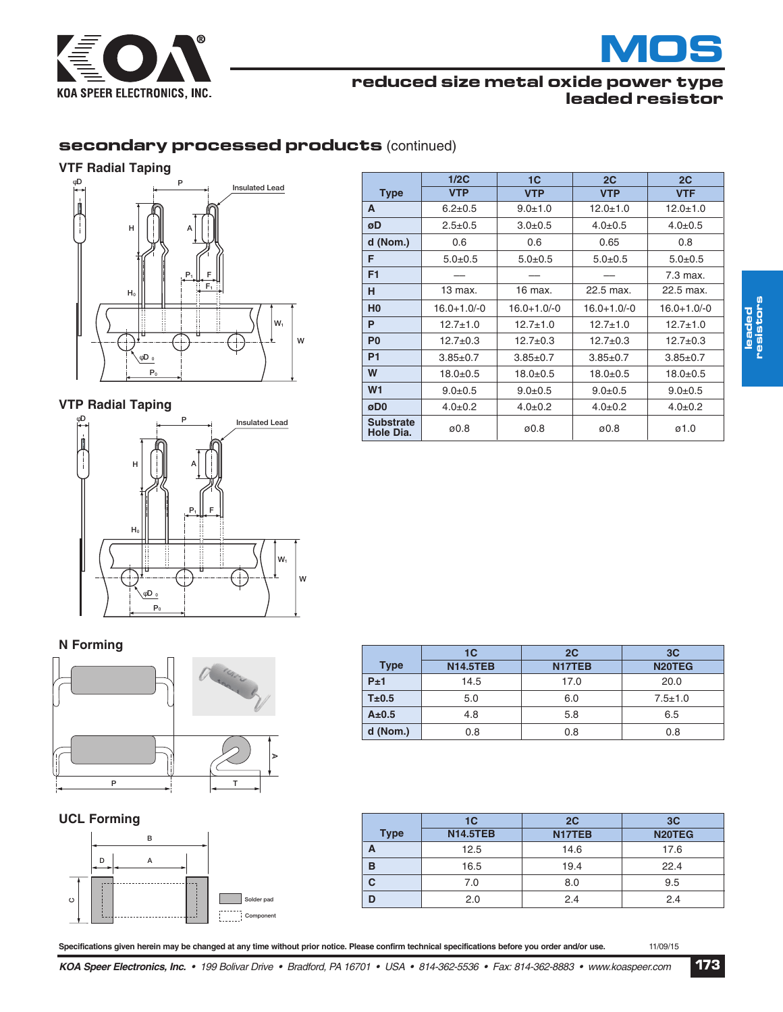

# **MOS**

# **reduced size metal oxide power type leaded resistor**

# **secondary processed products** (continued)

#### **VTF Radial Taping**



### **VTP Radial Taping**



|                               | 1/2C             | 1 <sup>C</sup>   | 2C               | 2C               |
|-------------------------------|------------------|------------------|------------------|------------------|
| <b>Type</b>                   | <b>VTP</b>       | <b>VTP</b>       | <b>VTP</b>       | <b>VTF</b>       |
| A                             | $6.2 \pm 0.5$    | $9.0 + 1.0$      | $12.0 + 1.0$     | $12.0 + 1.0$     |
| øD                            | $2.5 \pm 0.5$    | $3.0 + 0.5$      | $4.0 \pm 0.5$    | $4.0 \pm 0.5$    |
| d (Nom.)                      | 0.6              | 0.6              | 0.65             | 0.8              |
| F                             | $5.0 + 0.5$      | $5.0 + 0.5$      | $5.0 + 0.5$      | $5.0 + 0.5$      |
| F <sub>1</sub>                |                  |                  |                  | 7.3 max.         |
| н                             | 13 max.          | 16 max.          | 22.5 max.        | 22.5 max.        |
| H <sub>0</sub>                | $16.0 + 1.0 - 0$ | $16.0 + 1.0 - 0$ | $16.0 + 1.0 - 0$ | $16.0 + 1.0 - 0$ |
| P                             | $12.7 \pm 1.0$   | $12.7 \pm 1.0$   | $12.7 \pm 1.0$   | $12.7 \pm 1.0$   |
| P <sub>0</sub>                | $12.7 + 0.3$     | $12.7 \pm 0.3$   | $12.7 \pm 0.3$   | $12.7 \pm 0.3$   |
| <b>P1</b>                     | $3.85 \pm 0.7$   | $3.85 \pm 0.7$   | $3.85 \pm 0.7$   | $3.85 \pm 0.7$   |
| W                             | $18.0 + 0.5$     | $18.0 + 0.5$     | $18.0 + 0.5$     | $18.0 + 0.5$     |
| W <sub>1</sub>                | $9.0 \pm 0.5$    | $9.0 \pm 0.5$    | $9.0 \pm 0.5$    | $9.0 + 0.5$      |
| øD0                           | $4.0 \pm 0.2$    | $4.0 \pm 0.2$    | $4.0 \pm 0.2$    | $4.0 \pm 0.2$    |
| <b>Substrate</b><br>Hole Dia. | ø0.8             | ø0.8             | ø0.8             | ø1.0             |

#### **N Forming**



**UCL Forming**



|             | 1 <sup>C</sup>  | 2C                  | 3C                  |
|-------------|-----------------|---------------------|---------------------|
| <b>Type</b> | <b>N14.5TEB</b> | N <sub>17</sub> TEB | N <sub>20</sub> TEG |
| P±1         | 14.5            | 17.0                | 20.0                |
| T±0.5       | 5.0             | 6.0                 | $7.5 \pm 1.0$       |
| $A\pm0.5$   | 4.8             | 5.8                 | 6.5                 |
| d (Nom.)    | 0.8             | 0.8                 | 0.8                 |

| <b>Type</b> | 1 <sup>C</sup><br><b>N14.5TEB</b> | 2C<br>N <sub>17</sub> TEB | 3C<br>N20TEG |
|-------------|-----------------------------------|---------------------------|--------------|
| А           | 12.5                              | 14.6                      | 17.6         |
| в           | 16.5                              | 19.4                      | 22.4         |
| C           | 7.0                               | 8.0                       | 9.5          |
| n           | 2.0                               | 2.4                       | 2.4          |

Specifications given herein may be changed at any time without prior notice. Please confirm technical specifications before you order and/or use. 11/09/15